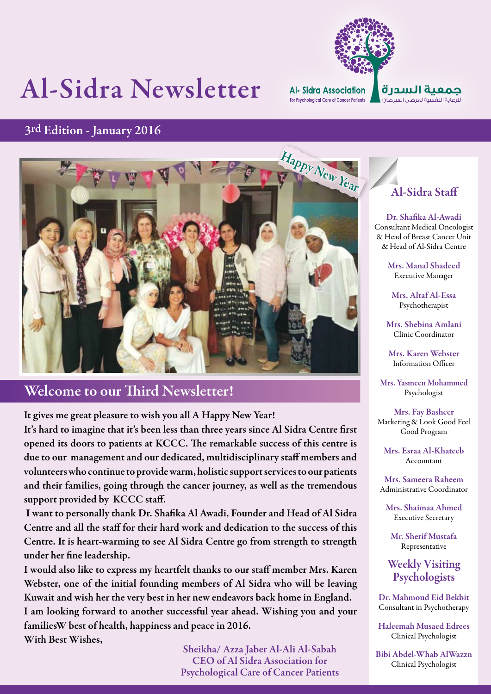# Al-Sidra Newsletter



### 3rd Edition - January 2016



### Welcome to our Third Newsletter!

It gives me great pleasure to wish you all A Happy New Year! It's hard to imagine that it's been less than three years since Al Sidra Centre first opened its doors to patients at KCCC. The remarkable success of this centre is due to our management and our dedicated, multidisciplinary staff members and volunteers who continue to provide warm, holistic support services to our patients and their families, going through the cancer journey, as well as the tremendous support provided by KCCC staff.

 I want to personally thank Dr. Shafika Al Awadi, Founder and Head of Al Sidra Centre and all the staff for their hard work and dedication to the success of this Centre. It is heart-warming to see Al Sidra Centre go from strength to strength under her fine leadership.

I would also like to express my heartfelt thanks to our staff member Mrs. Karen Webster, one of the initial founding members of Al Sidra who will be leaving Kuwait and wish her the very best in her new endeavors back home in England. I am looking forward to another successful year ahead. Wishing you and your familiesW best of health, happiness and peace in 2016. With Best Wishes,

> Sheikha/ Azza Jaber Al-Ali Al-Sabah CEO of Al Sidra Association for Psychological Care of Cancer Patients

### Al-Sidra Staff

Dr. Shafika Al-Awadi Consultant Medical Oncologist & Head of Breast Cancer Unit & Head of Al-Sidra Centre

> Mrs. Manal Shadeed Executive Manager

Mrs. Altaf Al-Essa Psychotherapist

Mrs. Shebina Amlani Clinic Coordinator

Mrs. Karen Webster Information Officer

Mrs. Yasmeen Mohammed Psychologist

Mrs. Fay Basheer Marketing & Look Good Feel Good Program

Mrs. Esraa Al-Khateeb Accountant

Mrs. Sameera Raheem Administrative Coordinator

Mrs. Shaimaa Ahmed Executive Secretary

Mr. Sherif Mustafa Representative

Weekly Visiting Psychologists

Dr. Mahmoud Eid Bekbit Consultant in Psychotherapy

Haleemah Musaed Edrees Clinical Psychologist

Bibi Abdel-Whab AlWazzn Clinical Psychologist

**1**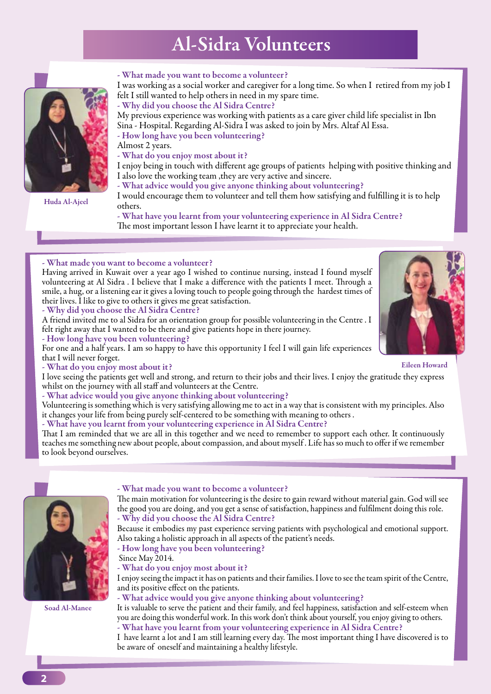## Al-Sidra Volunteers



Huda Al-Ajeel

#### - What made you want to become a volunteer?

I was working as a social worker and caregiver for a long time. So when I retired from my job I felt I still wanted to help others in need in my spare time.

- Why did you choose the Al Sidra Centre?

My previous experience was working with patients as a care giver child life specialist in Ibn Sina - Hospital. Regarding Al-Sidra I was asked to join by Mrs. Altaf Al Essa.

- How long have you been volunteering?

Almost 2 years.

- What do you enjoy most about it?

I enjoy being in touch with different age groups of patients helping with positive thinking and I also love the working team ,they are very active and sincere.

- What advice would you give anyone thinking about volunteering?

I would encourage them to volunteer and tell them how satisfying and fulfilling it is to help others.

- What have you learnt from your volunteering experience in Al Sidra Centre? The most important lesson I have learnt it to appreciate your health.

#### - What made you want to become a volunteer?

Having arrived in Kuwait over a year ago I wished to continue nursing, instead I found myself volunteering at Al Sidra . I believe that I make a difference with the patients I meet. Through a smile, a hug, or a listening ear it gives a loving touch to people going through the hardest times of their lives. I like to give to others it gives me great satisfaction.

- Why did you choose the Al Sidra Centre?

A friend invited me to al Sidra for an orientation group for possible volunteering in the Centre . I felt right away that I wanted to be there and give patients hope in there journey.

- How long have you been volunteering?

For one and a half years. I am so happy to have this opportunity I feel I will gain life experiences that I will never forget.

- What do you enjoy most about it?

I love seeing the patients get well and strong, and return to their jobs and their lives. I enjoy the gratitude they express whilst on the journey with all staff and volunteers at the Centre.

- What advice would you give anyone thinking about volunteering?

Volunteering is something which is very satisfying allowing me to act in a way that is consistent with my principles. Also it changes your life from being purely self-centered to be something with meaning to others .

#### - What have you learnt from your volunteering experience in Al Sidra Centre?

That I am reminded that we are all in this together and we need to remember to support each other. It continuously teaches me something new about people, about compassion, and about myself . Life has so much to offer if we remember to look beyond ourselves.



Soad Al-Manee

#### - What made you want to become a volunteer?

The main motivation for volunteering is the desire to gain reward without material gain. God will see the good you are doing, and you get a sense of satisfaction, happiness and fulfilment doing this role. - Why did you choose the Al Sidra Centre?

Because it embodies my past experience serving patients with psychological and emotional support. Also taking a holistic approach in all aspects of the patient's needs.

- How long have you been volunteering?

Since May 2014.

- What do you enjoy most about it?

I enjoy seeing the impact it has on patients and their families. I love to see the team spirit of the Centre, and its positive effect on the patients.

#### - What advice would you give anyone thinking about volunteering?

It is valuable to serve the patient and their family, and feel happiness, satisfaction and self-esteem when you are doing this wonderful work. In this work don't think about yourself, you enjoy giving to others. - What have you learnt from your volunteering experience in Al Sidra Centre?

I have learnt a lot and I am still learning every day. The most important thing I have discovered is to be aware of oneself and maintaining a healthy lifestyle.

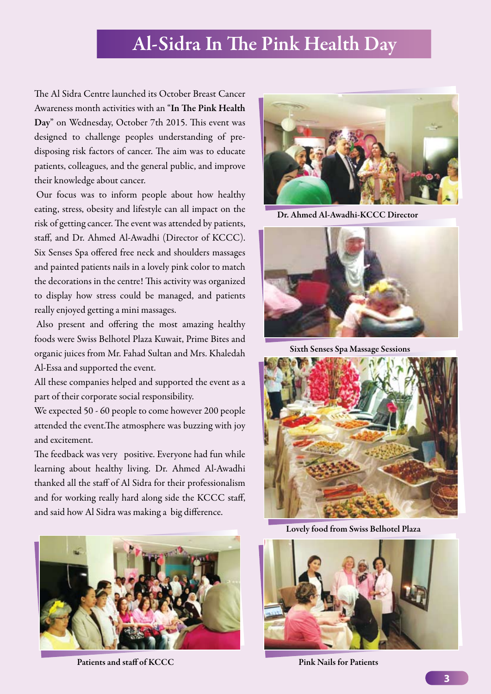### Al-Sidra In The Pink Health Day

The Al Sidra Centre launched its October Breast Cancer Awareness month activities with an "In The Pink Health Day" on Wednesday, October 7th 2015. This event was designed to challenge peoples understanding of predisposing risk factors of cancer. The aim was to educate patients, colleagues, and the general public, and improve their knowledge about cancer.

Our focus was to inform people about how healthy eating, stress, obesity and lifestyle can all impact on the risk of getting cancer. The event was attended by patients, staff, and Dr. Ahmed Al-Awadhi (Director of KCCC). Six Senses Spa offered free neck and shoulders massages and painted patients nails in a lovely pink color to match the decorations in the centre! This activity was organized to display how stress could be managed, and patients really enjoyed getting a mini massages.

Also present and offering the most amazing healthy foods were Swiss Belhotel Plaza Kuwait, Prime Bites and organic juices from Mr. Fahad Sultan and Mrs. Khaledah Al-Essa and supported the event.

All these companies helped and supported the event as a part of their corporate social responsibility.

We expected 50 - 60 people to come however 200 people attended the event.The atmosphere was buzzing with joy and excitement.

The feedback was very positive. Everyone had fun while learning about healthy living. Dr. Ahmed Al-Awadhi thanked all the staff of Al Sidra for their professionalism and for working really hard along side the KCCC staff, and said how Al Sidra was making a big difference.



Patients and staff of KCCC Pink Nails for Patients



Dr. Ahmed Al-Awadhi-KCCC Director



Sixth Senses Spa Massage Sessions



Lovely food from Swiss Belhotel Plaza

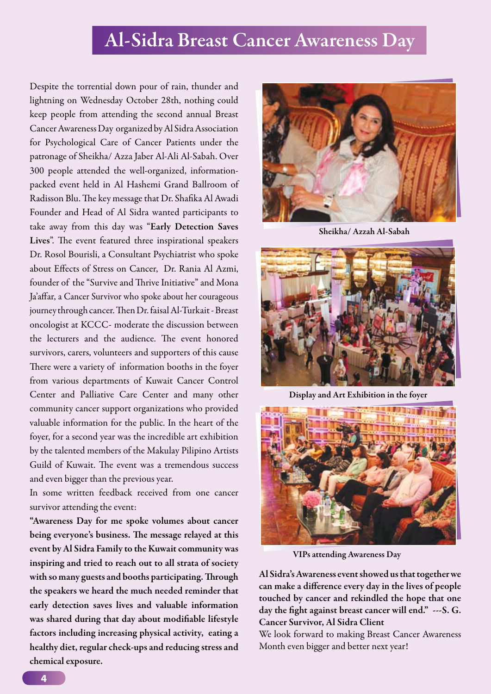### Al-Sidra Breast Cancer Awareness Day

Despite the torrential down pour of rain, thunder and lightning on Wednesday October 28th, nothing could keep people from attending the second annual Breast Cancer Awareness Day organized by Al Sidra Association for Psychological Care of Cancer Patients under the patronage of Sheikha/ Azza Jaber Al-Ali Al-Sabah. Over 300 people attended the well-organized, informationpacked event held in Al Hashemi Grand Ballroom of Radisson Blu. The key message that Dr. Shafika Al Awadi Founder and Head of Al Sidra wanted participants to take away from this day was "Early Detection Saves Lives". The event featured three inspirational speakers Dr. Rosol Bourisli, a Consultant Psychiatrist who spoke about Effects of Stress on Cancer, Dr. Rania Al Azmi, founder of the "Survive and Thrive Initiative" and Mona Ja'affar, a Cancer Survivor who spoke about her courageous journey through cancer. Then Dr. faisal Al-Turkait - Breast oncologist at KCCC- moderate the discussion between the lecturers and the audience. The event honored survivors, carers, volunteers and supporters of this cause There were a variety of information booths in the foyer from various departments of Kuwait Cancer Control Center and Palliative Care Center and many other community cancer support organizations who provided valuable information for the public. In the heart of the foyer, for a second year was the incredible art exhibition by the talented members of the Makulay Pilipino Artists Guild of Kuwait. The event was a tremendous success and even bigger than the previous year.

In some written feedback received from one cancer survivor attending the event:

"Awareness Day for me spoke volumes about cancer being everyone's business. The message relayed at this event by Al Sidra Family to the Kuwait community was inspiring and tried to reach out to all strata of society with so many guests and booths participating. Through the speakers we heard the much needed reminder that early detection saves lives and valuable information was shared during that day about modifiable lifestyle factors including increasing physical activity, eating a healthy diet, regular check-ups and reducing stress and chemical exposure.



Sheikha/ Azzah Al-Sabah



Display and Art Exhibition in the foyer



VIPs attending Awareness Day

Al Sidra's Awareness event showed us that together we can make a difference every day in the lives of people touched by cancer and rekindled the hope that one day the fight against breast cancer will end." ---S. G. Cancer Survivor, Al Sidra Client

We look forward to making Breast Cancer Awareness Month even bigger and better next year!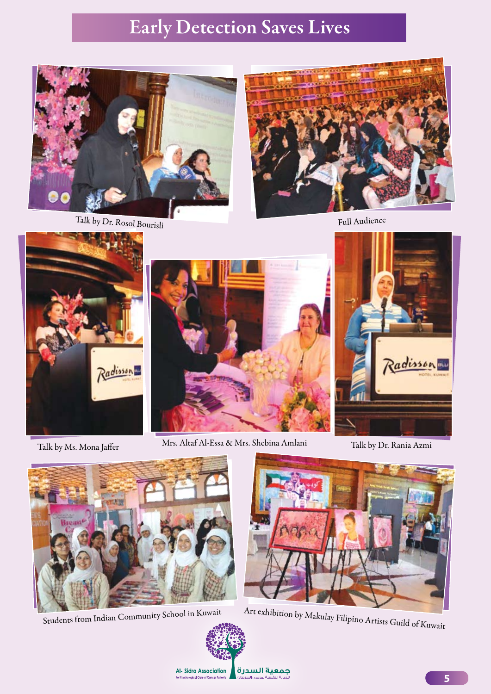## Early Detection Saves Lives



Talk by Dr. Rosol Bourisli



Full Audience



Talk by Ms. Mona Jaffer



Mrs. Altaf Al-Essa & Mrs. Shebina Amlani Talk by Dr. Rania Azmi





Students from Indian Community School in Kuwait



Art exhibition by Makulay Filipino Artists Guild of Kuwait